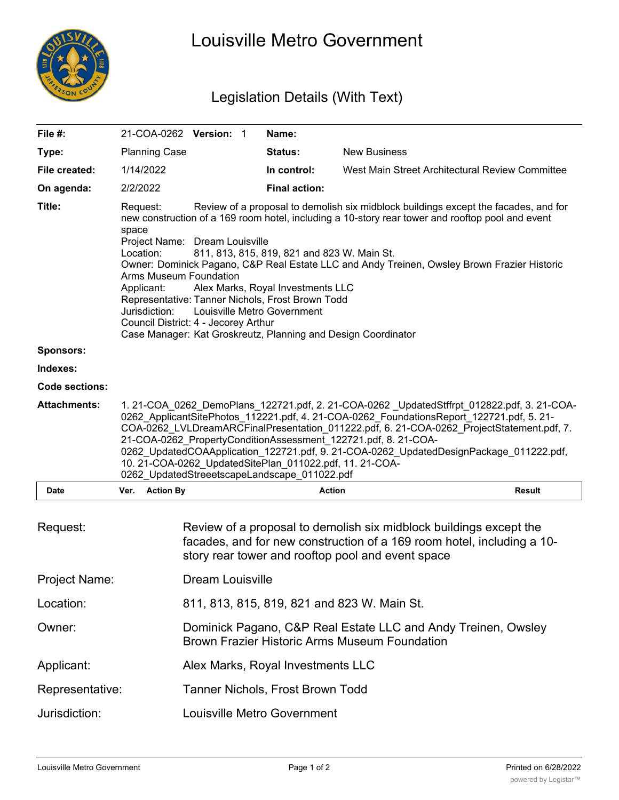

## Louisville Metro Government

## Legislation Details (With Text)

| File #:               |                                                                                                                                                                                                                                                                                                                                                                                                                                                                                                                                                           |                                                                                                                                                                                                                                                                                                                                                                                                                                                                                                                                                                                                                                  | 21-COA-0262 Version: 1  |  | Name:                              |                                                                                                                                                                                                   |        |
|-----------------------|-----------------------------------------------------------------------------------------------------------------------------------------------------------------------------------------------------------------------------------------------------------------------------------------------------------------------------------------------------------------------------------------------------------------------------------------------------------------------------------------------------------------------------------------------------------|----------------------------------------------------------------------------------------------------------------------------------------------------------------------------------------------------------------------------------------------------------------------------------------------------------------------------------------------------------------------------------------------------------------------------------------------------------------------------------------------------------------------------------------------------------------------------------------------------------------------------------|-------------------------|--|------------------------------------|---------------------------------------------------------------------------------------------------------------------------------------------------------------------------------------------------|--------|
| Type:                 |                                                                                                                                                                                                                                                                                                                                                                                                                                                                                                                                                           | <b>Planning Case</b>                                                                                                                                                                                                                                                                                                                                                                                                                                                                                                                                                                                                             |                         |  | Status:                            | <b>New Business</b>                                                                                                                                                                               |        |
| File created:         |                                                                                                                                                                                                                                                                                                                                                                                                                                                                                                                                                           | 1/14/2022                                                                                                                                                                                                                                                                                                                                                                                                                                                                                                                                                                                                                        |                         |  | In control:                        | West Main Street Architectural Review Committee                                                                                                                                                   |        |
| On agenda:            | 2/2/2022                                                                                                                                                                                                                                                                                                                                                                                                                                                                                                                                                  |                                                                                                                                                                                                                                                                                                                                                                                                                                                                                                                                                                                                                                  |                         |  | <b>Final action:</b>               |                                                                                                                                                                                                   |        |
| Title:                | space                                                                                                                                                                                                                                                                                                                                                                                                                                                                                                                                                     | Review of a proposal to demolish six midblock buildings except the facades, and for<br>Request:<br>new construction of a 169 room hotel, including a 10-story rear tower and rooftop pool and event<br>Project Name: Dream Louisville<br>Location:<br>811, 813, 815, 819, 821 and 823 W. Main St.<br>Owner: Dominick Pagano, C&P Real Estate LLC and Andy Treinen, Owsley Brown Frazier Historic<br><b>Arms Museum Foundation</b><br>Alex Marks, Royal Investments LLC<br>Applicant:<br>Representative: Tanner Nichols, Frost Brown Todd<br>Jurisdiction:<br>Louisville Metro Government<br>Council District: 4 - Jecorey Arthur |                         |  |                                    |                                                                                                                                                                                                   |        |
|                       |                                                                                                                                                                                                                                                                                                                                                                                                                                                                                                                                                           | Case Manager: Kat Groskreutz, Planning and Design Coordinator                                                                                                                                                                                                                                                                                                                                                                                                                                                                                                                                                                    |                         |  |                                    |                                                                                                                                                                                                   |        |
| <b>Sponsors:</b>      |                                                                                                                                                                                                                                                                                                                                                                                                                                                                                                                                                           |                                                                                                                                                                                                                                                                                                                                                                                                                                                                                                                                                                                                                                  |                         |  |                                    |                                                                                                                                                                                                   |        |
| Indexes:              |                                                                                                                                                                                                                                                                                                                                                                                                                                                                                                                                                           |                                                                                                                                                                                                                                                                                                                                                                                                                                                                                                                                                                                                                                  |                         |  |                                    |                                                                                                                                                                                                   |        |
| <b>Code sections:</b> |                                                                                                                                                                                                                                                                                                                                                                                                                                                                                                                                                           |                                                                                                                                                                                                                                                                                                                                                                                                                                                                                                                                                                                                                                  |                         |  |                                    |                                                                                                                                                                                                   |        |
| <b>Attachments:</b>   | 1. 21-COA_0262_DemoPlans_122721.pdf, 2. 21-COA-0262_UpdatedStffrpt_012822.pdf, 3. 21-COA-<br>0262_ApplicantSitePhotos_112221.pdf, 4. 21-COA-0262_FoundationsReport_122721.pdf, 5. 21-<br>COA-0262_LVLDreamARCFinalPresentation_011222.pdf, 6. 21-COA-0262_ProjectStatement.pdf, 7.<br>21-COA-0262 PropertyConditionAssessment 122721.pdf, 8. 21-COA-<br>0262 UpdatedCOAApplication_122721.pdf, 9. 21-COA-0262 UpdatedDesignPackage_011222.pdf,<br>10. 21-COA-0262 UpdatedSitePlan 011022.pdf, 11. 21-COA-<br>0262_UpdatedStreeetscapeLandscape_011022.pdf |                                                                                                                                                                                                                                                                                                                                                                                                                                                                                                                                                                                                                                  |                         |  |                                    |                                                                                                                                                                                                   |        |
| Date                  |                                                                                                                                                                                                                                                                                                                                                                                                                                                                                                                                                           | Ver. Action By                                                                                                                                                                                                                                                                                                                                                                                                                                                                                                                                                                                                                   |                         |  | <b>Action</b>                      |                                                                                                                                                                                                   | Result |
| Request:              |                                                                                                                                                                                                                                                                                                                                                                                                                                                                                                                                                           |                                                                                                                                                                                                                                                                                                                                                                                                                                                                                                                                                                                                                                  |                         |  |                                    | Review of a proposal to demolish six midblock buildings except the<br>facades, and for new construction of a 169 room hotel, including a 10-<br>story rear tower and rooftop pool and event space |        |
| Project Name:         |                                                                                                                                                                                                                                                                                                                                                                                                                                                                                                                                                           |                                                                                                                                                                                                                                                                                                                                                                                                                                                                                                                                                                                                                                  | <b>Dream Louisville</b> |  |                                    |                                                                                                                                                                                                   |        |
| Location:             |                                                                                                                                                                                                                                                                                                                                                                                                                                                                                                                                                           |                                                                                                                                                                                                                                                                                                                                                                                                                                                                                                                                                                                                                                  |                         |  |                                    | 811, 813, 815, 819, 821 and 823 W. Main St.                                                                                                                                                       |        |
| Owner:                |                                                                                                                                                                                                                                                                                                                                                                                                                                                                                                                                                           |                                                                                                                                                                                                                                                                                                                                                                                                                                                                                                                                                                                                                                  |                         |  |                                    | Dominick Pagano, C&P Real Estate LLC and Andy Treinen, Owsley<br><b>Brown Frazier Historic Arms Museum Foundation</b>                                                                             |        |
| Applicant:            |                                                                                                                                                                                                                                                                                                                                                                                                                                                                                                                                                           |                                                                                                                                                                                                                                                                                                                                                                                                                                                                                                                                                                                                                                  |                         |  | Alex Marks, Royal Investments LLC  |                                                                                                                                                                                                   |        |
| Representative:       |                                                                                                                                                                                                                                                                                                                                                                                                                                                                                                                                                           |                                                                                                                                                                                                                                                                                                                                                                                                                                                                                                                                                                                                                                  |                         |  | Tanner Nichols, Frost Brown Todd   |                                                                                                                                                                                                   |        |
| Jurisdiction:         |                                                                                                                                                                                                                                                                                                                                                                                                                                                                                                                                                           |                                                                                                                                                                                                                                                                                                                                                                                                                                                                                                                                                                                                                                  |                         |  | <b>Louisville Metro Government</b> |                                                                                                                                                                                                   |        |